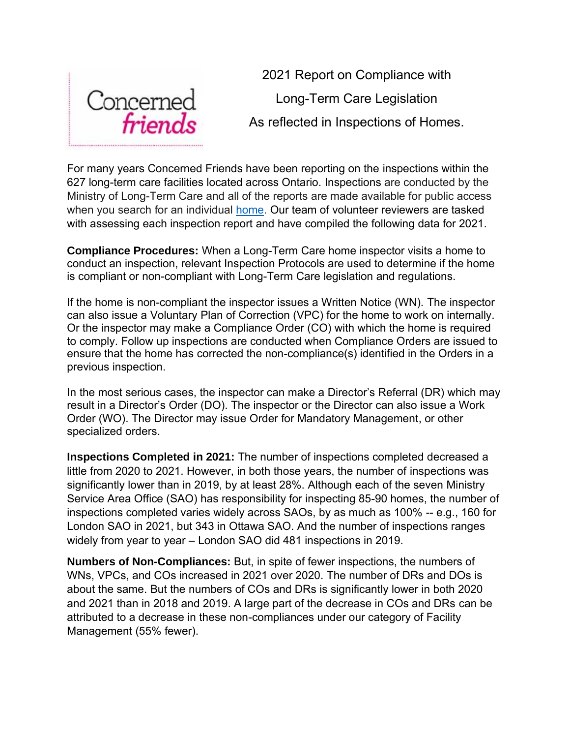

2021 Report on Compliance with Long-Term Care Legislation As reflected in Inspections of Homes.

For many years Concerned Friends have been reporting on the inspections within the 627 long-term care facilities located across Ontario. Inspections are conducted by the Ministry of Long-Term Care and all of the reports are made available for public access when you search for an individual **home**. Our team of volunteer reviewers are tasked with assessing each inspection report and have compiled the following data for 2021.

**Compliance Procedures:** When a Long-Term Care home inspector visits a home to conduct an inspection, relevant Inspection Protocols are used to determine if the home is compliant or non-compliant with Long-Term Care legislation and regulations.

If the home is non-compliant the inspector issues a Written Notice (WN). The inspector can also issue a Voluntary Plan of Correction (VPC) for the home to work on internally. Or the inspector may make a Compliance Order (CO) with which the home is required to comply. Follow up inspections are conducted when Compliance Orders are issued to ensure that the home has corrected the non-compliance(s) identified in the Orders in a previous inspection.

In the most serious cases, the inspector can make a Director's Referral (DR) which may result in a Director's Order (DO). The inspector or the Director can also issue a Work Order (WO). The Director may issue Order for Mandatory Management, or other specialized orders.

**Inspections Completed in 2021:** The number of inspections completed decreased a little from 2020 to 2021. However, in both those years, the number of inspections was significantly lower than in 2019, by at least 28%. Although each of the seven Ministry Service Area Office (SAO) has responsibility for inspecting 85-90 homes, the number of inspections completed varies widely across SAOs, by as much as 100% -- e.g., 160 for London SAO in 2021, but 343 in Ottawa SAO. And the number of inspections ranges widely from year to year – London SAO did 481 inspections in 2019.

**Numbers of Non-Compliances:** But, in spite of fewer inspections, the numbers of WNs, VPCs, and COs increased in 2021 over 2020. The number of DRs and DOs is about the same. But the numbers of COs and DRs is significantly lower in both 2020 and 2021 than in 2018 and 2019. A large part of the decrease in COs and DRs can be attributed to a decrease in these non-compliances under our category of Facility Management (55% fewer).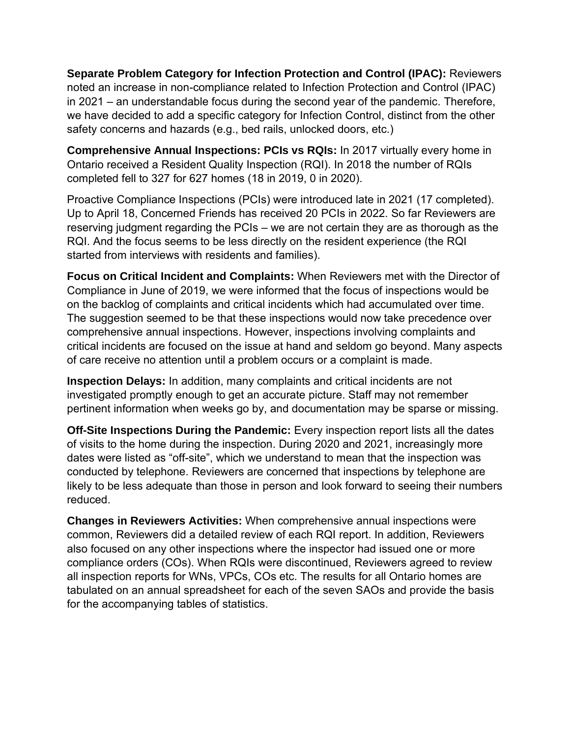**Separate Problem Category for Infection Protection and Control (IPAC):** Reviewers noted an increase in non-compliance related to Infection Protection and Control (IPAC) in 2021 – an understandable focus during the second year of the pandemic. Therefore, we have decided to add a specific category for Infection Control, distinct from the other safety concerns and hazards (e.g., bed rails, unlocked doors, etc.)

**Comprehensive Annual Inspections: PCIs vs RQIs:** In 2017 virtually every home in Ontario received a Resident Quality Inspection (RQI). In 2018 the number of RQIs completed fell to 327 for 627 homes (18 in 2019, 0 in 2020).

Proactive Compliance Inspections (PCIs) were introduced late in 2021 (17 completed). Up to April 18, Concerned Friends has received 20 PCIs in 2022. So far Reviewers are reserving judgment regarding the PCIs – we are not certain they are as thorough as the RQI. And the focus seems to be less directly on the resident experience (the RQI started from interviews with residents and families).

**Focus on Critical Incident and Complaints:** When Reviewers met with the Director of Compliance in June of 2019, we were informed that the focus of inspections would be on the backlog of complaints and critical incidents which had accumulated over time. The suggestion seemed to be that these inspections would now take precedence over comprehensive annual inspections. However, inspections involving complaints and critical incidents are focused on the issue at hand and seldom go beyond. Many aspects of care receive no attention until a problem occurs or a complaint is made.

**Inspection Delays:** In addition, many complaints and critical incidents are not investigated promptly enough to get an accurate picture. Staff may not remember pertinent information when weeks go by, and documentation may be sparse or missing.

**Off-Site Inspections During the Pandemic:** Every inspection report lists all the dates of visits to the home during the inspection. During 2020 and 2021, increasingly more dates were listed as "off-site", which we understand to mean that the inspection was conducted by telephone. Reviewers are concerned that inspections by telephone are likely to be less adequate than those in person and look forward to seeing their numbers reduced.

**Changes in Reviewers Activities:** When comprehensive annual inspections were common, Reviewers did a detailed review of each RQI report. In addition, Reviewers also focused on any other inspections where the inspector had issued one or more compliance orders (COs). When RQIs were discontinued, Reviewers agreed to review all inspection reports for WNs, VPCs, COs etc. The results for all Ontario homes are tabulated on an annual spreadsheet for each of the seven SAOs and provide the basis for the accompanying tables of statistics.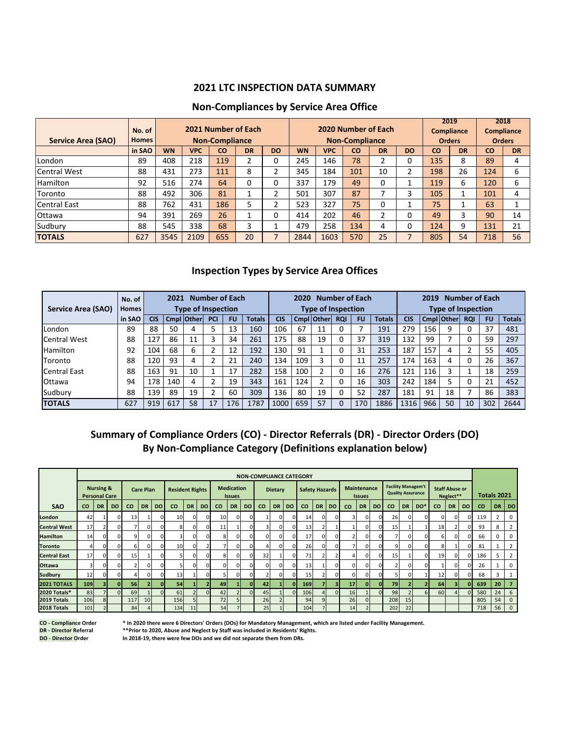## **2021 LTC INSPECTION DATA SUMMARY**

### **Non-Compliances by Service Area Office**

| Service Area (SAO)  | No. of<br><b>Homes</b> |           |            | 2021 Number of Each<br><b>Non-Compliance</b> |          |           |           |            | 2020 Number of Each<br><b>Non-Compliance</b> |           | 2019<br><b>Orders</b> | <b>Compliance</b> | 2018<br><b>Compliance</b><br><b>Orders</b> |     |                          |
|---------------------|------------------------|-----------|------------|----------------------------------------------|----------|-----------|-----------|------------|----------------------------------------------|-----------|-----------------------|-------------------|--------------------------------------------|-----|--------------------------|
|                     | in SAO                 | <b>WN</b> | <b>VPC</b> | CO                                           | DR       | <b>DO</b> | <b>WN</b> | <b>VPC</b> | CO                                           | <b>DR</b> | <b>DO</b>             | <b>CO</b>         | <b>DR</b>                                  | CO  | <b>DR</b>                |
| London              | 89                     | 408       | 218        | 119                                          | 2        | 0         | 245       | 146        | 78                                           |           | 0                     | 135               | 8                                          | 89  | 4                        |
| <b>Central West</b> | 88                     | 431       | 273        | 111                                          | 8        | 2         | 345       | 184        | 101                                          | 10        | $\overline{2}$        | 198               | 26                                         | 124 | 6                        |
| <b>Hamilton</b>     | 92                     | 516       | 274        | 64                                           | $\Omega$ | 0         | 337       | 179        | 49                                           | 0         |                       | 119               | 6                                          | 120 | 6                        |
| Toronto             | 88                     | 492       | 306        | 81                                           |          | 2         | 501       | 307        | 87                                           |           | 3                     | 105               |                                            | 101 | 4                        |
| <b>Central East</b> | 88                     | 762       | 431        | 186                                          | 5        | 2         | 523       | 327        | 75                                           | 0         |                       | 75                |                                            | 63  | $\overline{\phantom{a}}$ |
| Ottawa              | 94                     | 391       | 269        | 26                                           |          | 0         | 414       | 202        | 46                                           | ำ         | 0                     | 49                | 3                                          | 90  | 14                       |
| Sudbury             | 88                     | 545       | 338        | 68                                           | 3        |           | 479       | 258        | 134                                          | 4         | 0                     | 124               | 9                                          | 131 | 21                       |
| <b>TOTALS</b>       | 627                    | 3545      | 2109       | 655                                          | 20       |           | 2844      | 1603       | 570                                          | 25        | 7                     | 805               | 54                                         | 718 | 56                       |

#### **Inspection Types by Service Area Offices 2021 Inspection Types by Service Area Office (SAO)**

|                     | No. of       |            | 2021 |                           |     | <b>Number of Each</b> |               |            | 2020 |                           |            | <b>Number of Each</b> |               | <b>Number of Each</b><br>2019 |     |                   |            |           |               |  |  |  |
|---------------------|--------------|------------|------|---------------------------|-----|-----------------------|---------------|------------|------|---------------------------|------------|-----------------------|---------------|-------------------------------|-----|-------------------|------------|-----------|---------------|--|--|--|
| Service Area (SAO)  | <b>Homes</b> |            |      | <b>Type of Inspection</b> |     |                       |               |            |      | <b>Type of Inspection</b> |            |                       |               | <b>Type of Inspection</b>     |     |                   |            |           |               |  |  |  |
|                     | in SAO       | <b>CIS</b> |      | <b>Cmpl Other</b>         | PCI | <b>FU</b>             | <b>Totals</b> | <b>CIS</b> |      | <b>Cmpl Other</b>         | <b>RQI</b> | FU                    | <b>Totals</b> | <b>CIS</b>                    |     | <b>Cmpl Other</b> | <b>RQI</b> | <b>FU</b> | <b>Totals</b> |  |  |  |
| London              | 89           | 88         | 50   | 4                         |     | 13                    | 160           | 106        | 67   | 11                        |            |                       | 191           | 279                           | 156 | 9                 | 0          | 37        | 481           |  |  |  |
| <b>Central West</b> | 88           | 127        | 86   | 11                        | з   | 34                    | 261           | 175        | 88   | 19                        |            | 37                    | 319           | 132                           | 99  |                   | 0          | 59        | 297           |  |  |  |
| <b>Hamilton</b>     | 92           | 104        | 68   | 6                         |     | 12                    | 192           | 130        | 91   |                           |            | 31                    | 253           | 187                           | 157 |                   | h          | 55        | 405           |  |  |  |
| <b>Toronto</b>      | 88           | 120        | 93   | 4                         |     | 21                    | 240           | 134        | 109  |                           | 0          | 11                    | 257           | 174                           | 163 |                   | 0          | 26        | 367           |  |  |  |
| Central East        | 88           | 163        | 91   | 10                        |     | 17                    | 282           | 158        | 100  |                           |            | 16                    | 276           | 121                           | 116 | 3                 |            | 18        | 259           |  |  |  |
| <b>Ottawa</b>       | 94           | 178        | 140  | 4                         |     | 19                    | 343           | 161        | 124  |                           |            | 16                    | 303           | 242                           | 184 |                   |            | 21        | 452           |  |  |  |
| Sudbury             | 88           | 139        | 89   | 19                        |     | 60                    | 309           | 136        | 80   | 19                        |            | 52                    | 287           | 181                           | 91  | 18                | -          | 86        | 383           |  |  |  |
| <b>TOTALS</b>       | 627          | 919        | 617  | 58                        | 17  | 176                   | 1787          | 1000       | 659  | 57                        |            | 170                   | 1886          | 1316                          | 966 | 50                | 10         | 302       | 2644          |  |  |  |

# **Summary of Compliance Orders (CO) - Director Referrals (DR) - Director Orders (DO) By Non-Compliance Category (Definitions explanation below)**

|                     |                                              |                |          |                         |              |           |                        |           |           |                                    |                |           |                |           |           | <b>NON-COMPLIANCE CATEGORY</b> |           |     |                                     |                |                |           |           |                                                       |                       |           |           |             |                |                |  |
|---------------------|----------------------------------------------|----------------|----------|-------------------------|--------------|-----------|------------------------|-----------|-----------|------------------------------------|----------------|-----------|----------------|-----------|-----------|--------------------------------|-----------|-----|-------------------------------------|----------------|----------------|-----------|-----------|-------------------------------------------------------|-----------------------|-----------|-----------|-------------|----------------|----------------|--|
|                     | <b>Nursing &amp;</b><br><b>Personal Care</b> |                |          | <b>Care Plan</b>        |              |           | <b>Resident Rights</b> |           |           | <b>Medication</b><br><b>Issues</b> |                |           | <b>Dietary</b> |           |           | <b>Safety Hazards</b>          |           |     | <b>Maintenance</b><br><b>Issues</b> |                |                |           |           | <b>Facility Managem't</b><br><b>Quality Assurance</b> | <b>Staff Abuse or</b> | Neglect** |           | Totals 2021 |                |                |  |
| <b>SAO</b>          | CO                                           | <b>DR</b>      | DO.      | <b>CO</b>               | <b>DR</b>    | <b>DO</b> | <b>CO</b>              | <b>DR</b> | <b>DO</b> | <b>CO</b>                          | <b>DR</b>      | <b>DO</b> | co             | <b>DR</b> | <b>DO</b> | <b>CO</b>                      | <b>DR</b> | DO. | CO                                  | <b>DR</b>      | <b>DO</b>      | <b>CO</b> | <b>DR</b> | DO*                                                   | <b>CO</b>             | <b>DR</b> | <b>DO</b> | <b>CO</b>   | <b>DR</b>      | <b>DO</b>      |  |
| London              | 42                                           |                | $\Omega$ | 13                      |              |           | 10                     | $\Omega$  |           | 10                                 | $\mathbf{0}$   | 0         |                |           |           | 14                             |           |     | 3                                   | $\mathbf{0}$   | $\Omega$       | 26        | $\Omega$  |                                                       | n                     | $\Omega$  | $\Omega$  | 119         | $\overline{2}$ | $\mathbf 0$    |  |
| <b>Central West</b> | 17                                           |                | $\Omega$ | ∍                       | $\mathbf{0}$ |           | 8                      | ΩI        |           | 11                                 |                | O         | $\mathbf{a}$   |           |           | 13                             |           |     |                                     | $\mathbf{0}$   | $\Omega$       | 15        |           |                                                       | 18                    |           | $\Omega$  | 93          | 8              |                |  |
| <b>Hamilton</b>     | 14                                           | $\Omega$       | $\Omega$ | 9                       | $\mathbf{0}$ |           | 3                      | $\Omega$  |           | R                                  | $\Omega$       | O         | $\Omega$       | C         |           | 17                             | U         |     | C.                                  | $\overline{0}$ |                |           | ΩI        |                                                       | 6                     | $\Omega$  | $\Omega$  | 66          | 0              | 0              |  |
| <b>Toronto</b>      |                                              | ΩI             | $\Omega$ | $6 \overline{6}$        | $\Omega$     |           | 10                     | ΩI        |           |                                    | $\Omega$       | O         | 4              |           |           | 26                             |           |     |                                     | $\mathbf{0}$   |                | q         | ΩI        |                                                       | 8                     |           | $\Omega$  | 81          |                |                |  |
| <b>Central East</b> | 17                                           | $\Omega$       | $\Omega$ | 15                      |              |           | 5                      | ΩI        |           | 8                                  | $\Omega$       | $\Omega$  | 32             |           |           | 71                             |           |     | 4                                   | $\overline{0}$ | $\Omega$       | 15        |           |                                                       | 19                    | $\Omega$  | $\Omega$  | 186         | 5              |                |  |
| <b>Ottawa</b>       |                                              | <sub>0</sub>   | $\Omega$ | $\overline{\mathbf{z}}$ | $\Omega$     |           |                        | ΩI        |           | ΩI                                 | $\Omega$       | $\Omega$  | $\Omega$       |           |           | 13                             |           |     | $\Omega$                            | $\Omega$       |                |           |           |                                                       |                       | $\Omega$  | $\Omega$  | 26          |                | $\Omega$       |  |
| <b>Sudbury</b>      | 12                                           | 01             | $\Omega$ | 4                       | $\Omega$     | $\Omega$  | 13                     |           |           |                                    | $\mathbf{0}$   | 0         | $\mathcal{P}$  | C         |           | 15                             |           |     | $\Omega$                            | $\mathbf{0}$   |                |           | ΩI        |                                                       | 12                    | $\Omega$  | $\Omega$  | 68          | 3              |                |  |
| 2021 TOTALS         | <b>109</b>                                   |                | οI       | <b>56</b>               |              |           | 54                     |           |           | 49                                 |                | οI        | 42             |           |           | <b>169</b>                     |           | а   | 17                                  | $\Omega$       | $\mathbf{0}$   | <b>79</b> |           |                                                       | 64                    | 31        | οI        | 639         | 20             |                |  |
| 2020 Totals*        | 83                                           |                | $\Omega$ | 69                      |              | $\Omega$  | 61                     |           |           | 42                                 | $\overline{2}$ | $\Omega$  | 45             |           |           | 106                            |           | n   | <b>16</b>                           |                | $\overline{0}$ | 98        |           |                                                       | 60                    |           | $\Omega$  | 580         | 24             | 6              |  |
| 2019 Totals         | 106                                          | 8 <sup>1</sup> |          | 117                     | 10           |           | 156                    | 51        |           | 72                                 | 5 <sub>1</sub> |           | 26             |           |           | 94                             |           |     | 26                                  | $\Omega$       |                | 208       | 15        |                                                       |                       |           |           | 805         | 54             | $\overline{0}$ |  |
| 2018 Totals         | 101                                          |                |          | 84                      |              |           | 134                    | 11        |           | 54                                 |                |           | 25             |           |           | 104                            |           |     | 14                                  |                |                | 202       | 22        |                                                       |                       |           |           | 718         | 56             | $\mathbf{0}$   |  |

**CO - Compliance Order \* In 2020 there were 6 Directors' Orders (DOs) for Mandatory Management, which are listed under Facility Management.**

**DR - Director Referral \*\*Prior to 2020, Abuse and Neglect by Staff was included in Residents' Rights.**

**DO - Director Order In 2018-19, there were few DOs and we did not separate them from DRs.**